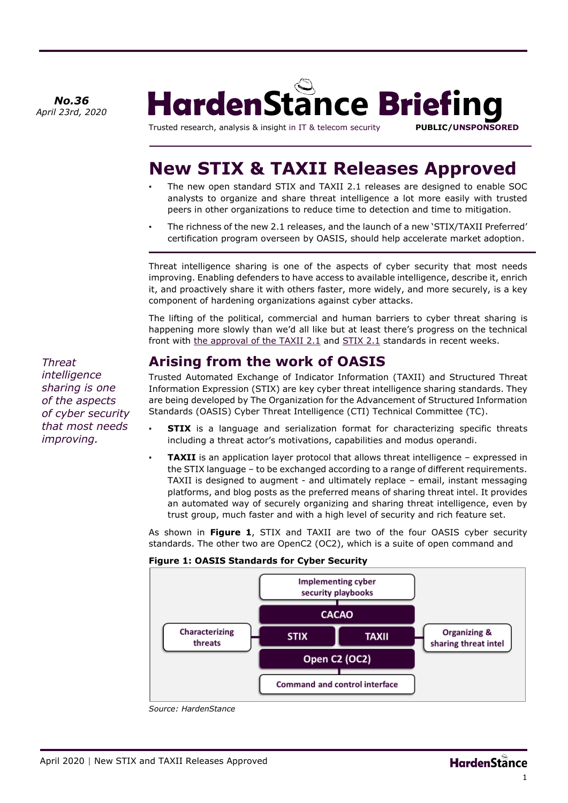*April 23rd, 2020* 



Trusted research, analysis & insight in IT & telecom security **PUBLIC/UNSPONSORED**

# **New STIX & TAXII Releases Approved**

- The new open standard STIX and TAXII 2.1 releases are designed to enable SOC analysts to organize and share threat intelligence a lot more easily with trusted peers in other organizations to reduce time to detection and time to mitigation.
- The richness of the new 2.1 releases, and the launch of a new 'STIX/TAXII Preferred' certification program overseen by OASIS, should help accelerate market adoption.

Threat intelligence sharing is one of the aspects of cyber security that most needs improving. Enabling defenders to have access to available intelligence, describe it, enrich it, and proactively share it with others faster, more widely, and more securely, is a key component of hardening organizations against cyber attacks.

The lifting of the political, commercial and human barriers to cyber threat sharing is happening more slowly than we'd all like but at least there's progress on the technical front with [the approval of the TAXII 2.1](https://www.oasis-open.org/news/announcements/taxii-version-2-1-from-cti-tc-approved-as-a-committee-specification) and [STIX 2.1](https://docs.oasis-open.org/cti/stix/v2.1/cs01/stix-v2.1-cs01.html) standards in recent weeks.

### **Arising from the work of OASIS**

Trusted Automated Exchange of Indicator Information (TAXII) and Structured Threat Information Expression (STIX) are key cyber threat intelligence sharing standards. They are being developed by The Organization for the Advancement of Structured Information Standards (OASIS) Cyber Threat Intelligence (CTI) Technical Committee (TC).

- **STIX** is a language and serialization format for characterizing specific threats including a threat actor's motivations, capabilities and modus operandi.
- **TAXII** is an application layer protocol that allows threat intelligence expressed in the STIX language – to be exchanged according to a range of different requirements. TAXII is designed to augment - and ultimately replace – email, instant messaging platforms, and blog posts as the preferred means of sharing threat intel. It provides an automated way of securely organizing and sharing threat intelligence, even by trust group, much faster and with a high level of security and rich feature set.

As shown in **Figure 1**, STIX and TAXII are two of the four OASIS cyber security standards. The other two are OpenC2 (OC2), which is a suite of open command and

#### **Figure 1: OASIS Standards for Cyber Security**



*Source: HardenStance*

*Threat intelligence sharing is one of the aspects of cyber security that most needs improving.*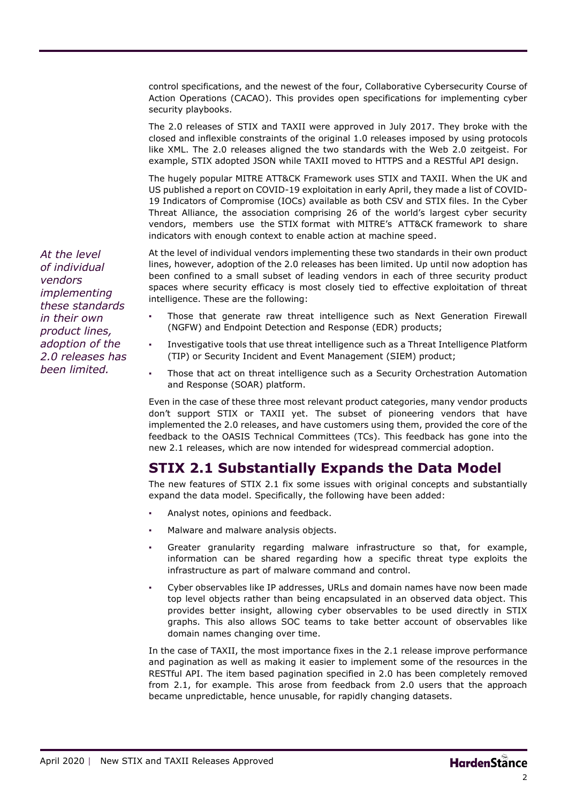control specifications, and the newest of the four, Collaborative Cybersecurity Course of Action Operations (CACAO). This provides open specifications for implementing cyber security playbooks.

The 2.0 releases of STIX and TAXII were approved in July 2017. They broke with the closed and inflexible constraints of the original 1.0 releases imposed by using protocols like XML. The 2.0 releases aligned the two standards with the Web 2.0 zeitgeist. For example, STIX adopted JSON while TAXII moved to HTTPS and a RESTful API design.

The hugely popular MITRE ATT&CK Framework uses STIX and TAXII. When the UK and US published a report on COVID-19 exploitation in early April, they made a list of COVID-19 Indicators of Compromise (IOCs) available as both CSV and STIX files. In the Cyber Threat Alliance, the association comprising 26 of the world's largest cyber security vendors, members use the [STIX](https://oasis-open.github.io/cti-documentation/stix/intro.html) format with [MITRE's ATT&CK](https://attack.mitre.org/) framework to share indicators with enough context to enable action at machine speed.

At the level of individual vendors implementing these two standards in their own product lines, however, adoption of the 2.0 releases has been limited. Up until now adoption has been confined to a small subset of leading vendors in each of three security product spaces where security efficacy is most closely tied to effective exploitation of threat intelligence. These are the following:

- Those that generate raw threat intelligence such as Next Generation Firewall (NGFW) and Endpoint Detection and Response (EDR) products;
- Investigative tools that use threat intelligence such as a Threat Intelligence Platform (TIP) or Security Incident and Event Management (SIEM) product;
- Those that act on threat intelligence such as a Security Orchestration Automation and Response (SOAR) platform.

Even in the case of these three most relevant product categories, many vendor products don't support STIX or TAXII yet. The subset of pioneering vendors that have implemented the 2.0 releases, and have customers using them, provided the core of the feedback to the OASIS Technical Committees (TCs). This feedback has gone into the new 2.1 releases, which are now intended for widespread commercial adoption.

#### **STIX 2.1 Substantially Expands the Data Model**

The new features of STIX 2.1 fix some issues with original concepts and substantially expand the data model. Specifically, the following have been added:

- Analyst notes, opinions and feedback.
- Malware and malware analysis objects.
- Greater granularity regarding malware infrastructure so that, for example, information can be shared regarding how a specific threat type exploits the infrastructure as part of malware command and control.
- Cyber observables like IP addresses, URLs and domain names have now been made top level objects rather than being encapsulated in an observed data object. This provides better insight, allowing cyber observables to be used directly in STIX graphs. This also allows SOC teams to take better account of observables like domain names changing over time.

In the case of TAXII, the most importance fixes in the 2.1 release improve performance and pagination as well as making it easier to implement some of the resources in the RESTful API. The item based pagination specified in 2.0 has been completely removed from 2.1, for example. This arose from feedback from 2.0 users that the approach became unpredictable, hence unusable, for rapidly changing datasets.

*At the level of individual vendors implementing these standards in their own product lines, adoption of the 2.0 releases has been limited.*